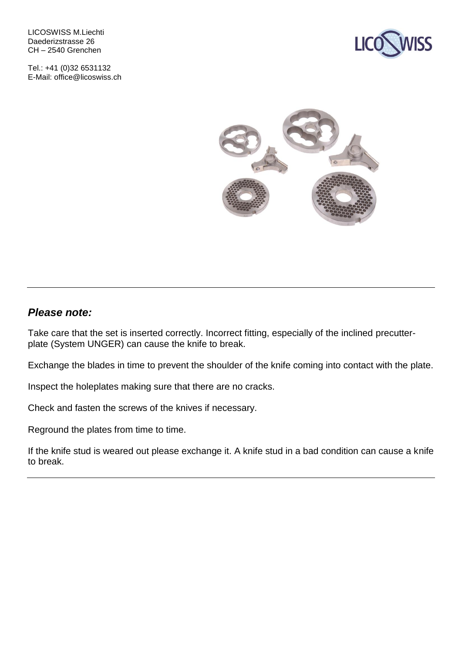LICOSWISS M.Liechti Daederizstrasse 26 CH – 2540 Grenchen

Tel.: +41 (0)32 6531132 E-Mail: office@licoswiss.ch





#### *Please note:*

Take care that the set is inserted correctly. Incorrect fitting, especially of the inclined precutterplate (System UNGER) can cause the knife to break.

Exchange the blades in time to prevent the shoulder of the knife coming into contact with the plate.

Inspect the holeplates making sure that there are no cracks.

Check and fasten the screws of the knives if necessary.

Reground the plates from time to time.

If the knife stud is weared out please exchange it. A knife stud in a bad condition can cause a knife to break.